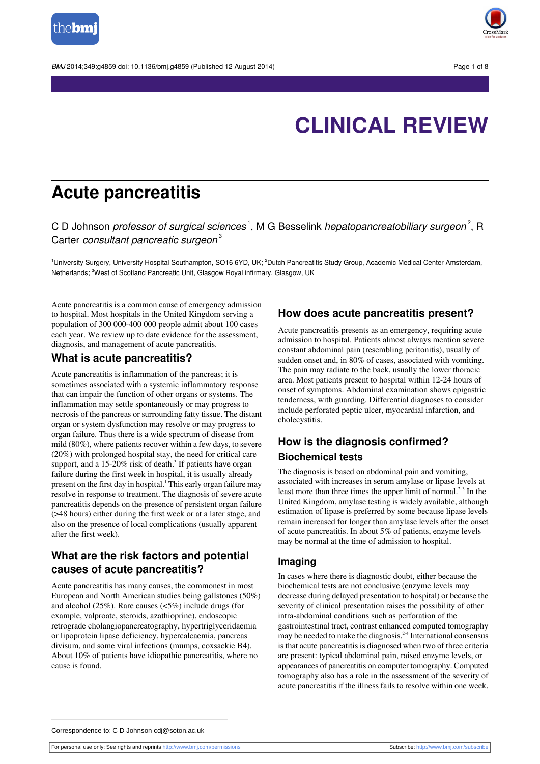



# **CLINICAL REVIEW**

# **Acute pancreatitis**

C D Johnson *professor of surgical sciences*  $^1$ , M G Besselink *hepatopancreatobiliary surgeon* $^2$ , R Carter consultant pancreatic surgeon<sup>3</sup>

<sup>1</sup>University Surgery, University Hospital Southampton, SO16 6YD, UK; <sup>2</sup>Dutch Pancreatitis Study Group, Academic Medical Center Amsterdam, Netherlands; <sup>3</sup>West of Scotland Pancreatic Unit, Glasgow Royal infirmary, Glasgow, UK

Acute pancreatitis is a common cause of emergency admission to hospital. Most hospitals in the United Kingdom serving a population of 300 000-400 000 people admit about 100 cases each year. We review up to date evidence for the assessment, diagnosis, and management of acute pancreatitis.

# **What is acute pancreatitis?**

Acute pancreatitis is inflammation of the pancreas; it is sometimes associated with a systemic inflammatory response that can impair the function of other organs or systems. The inflammation may settle spontaneously or may progress to necrosis of the pancreas or surrounding fatty tissue. The distant organ or system dysfunction may resolve or may progress to organ failure. Thus there is a wide spectrum of disease from mild  $(80\%)$ , where patients recover within a few days, to severe (20%) with prolonged hospital stay, the need for critical care support, and a 15-20% risk of death.<sup>3</sup> If patients have organ failure during the first week in hospital, it is usually already present on the first day in hospital.<sup>1</sup> This early organ failure may resolve in response to treatment. The diagnosis of severe acute pancreatitis depends on the presence of persistent organ failure (>48 hours) either during the first week or at a later stage, and also on the presence of local complications (usually apparent after the first week).

# **What are the risk factors and potential causes of acute pancreatitis?**

Acute pancreatitis has many causes, the commonest in most European and North American studies being gallstones (50%) and alcohol (25%). Rare causes (<5%) include drugs (for example, valproate, steroids, azathioprine), endoscopic retrograde cholangiopancreatography, hypertriglyceridaemia or lipoprotein lipase deficiency, hypercalcaemia, pancreas divisum, and some viral infections (mumps, coxsackie B4). About 10% of patients have idiopathic pancreatitis, where no cause is found.

# **How does acute pancreatitis present?**

Acute pancreatitis presents as an emergency, requiring acute admission to hospital. Patients almost always mention severe constant abdominal pain (resembling peritonitis), usually of sudden onset and, in 80% of cases, associated with vomiting. The pain may radiate to the back, usually the lower thoracic area. Most patients present to hospital within 12-24 hours of onset of symptoms. Abdominal examination shows epigastric tenderness, with guarding. Differential diagnoses to consider include perforated peptic ulcer, myocardial infarction, and cholecystitis.

# **How is the diagnosis confirmed? Biochemical tests**

The diagnosis is based on abdominal pain and vomiting, associated with increases in serum amylase or lipase levels at least more than three times the upper limit of normal.<sup>23</sup> In the United Kingdom, amylase testing is widely available, although estimation of lipase is preferred by some because lipase levels remain increased for longer than amylase levels after the onset of acute pancreatitis. In about 5% of patients, enzyme levels may be normal at the time of admission to hospital.

# **Imaging**

In cases where there is diagnostic doubt, either because the biochemical tests are not conclusive (enzyme levels may decrease during delayed presentation to hospital) or because the severity of clinical presentation raises the possibility of other intra-abdominal conditions such as perforation of the gastrointestinal tract, contrast enhanced computed tomography may be needed to make the diagnosis.<sup>2-4</sup> International consensus is that acute pancreatitis is diagnosed when two of three criteria are present: typical abdominal pain, raised enzyme levels, or appearances of pancreatitis on computer tomography. Computed tomography also has a role in the assessment of the severity of acute pancreatitis if the illness fails to resolve within one week.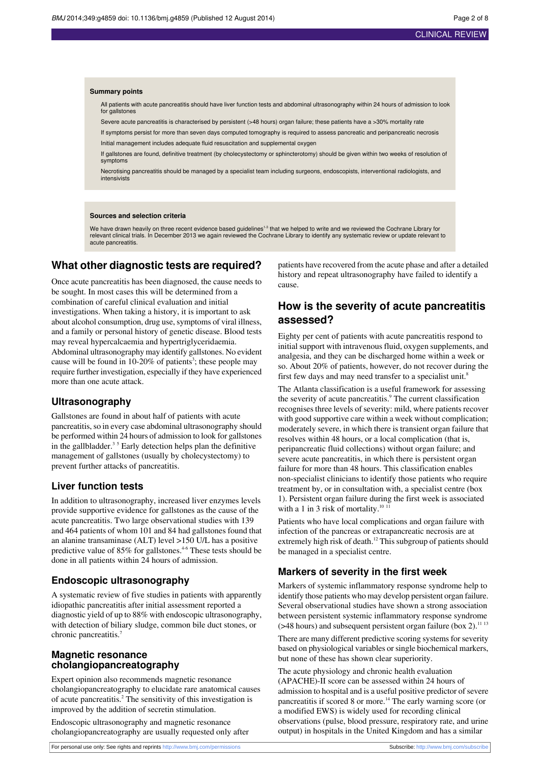#### **Summary points**

All patients with acute pancreatitis should have liver function tests and abdominal ultrasonography within 24 hours of admission to look for gallstones

Severe acute pancreatitis is characterised by persistent (>48 hours) organ failure; these patients have a >30% mortality rate

If symptoms persist for more than seven days computed tomography is required to assess pancreatic and peripancreatic necrosis Initial management includes adequate fluid resuscitation and supplemental oxygen

If gallstones are found, definitive treatment (by cholecystectomy or sphincterotomy) should be given within two weeks of resolution of symptoms

Necrotising pancreatitis should be managed by a specialist team including surgeons, endoscopists, interventional radiologists, and intensivists

#### **Sources and selection criteria**

We have drawn heavily on three recent evidence based guidelines<sup>1,3</sup> that we helped to write and we reviewed the Cochrane Library for relevant clinical trials. In December 2013 we again reviewed the Cochrane Library to identify any systematic review or update relevant to acute pancreatitis.

# **What other diagnostic tests are required?**

Once acute pancreatitis has been diagnosed, the cause needs to be sought. In most cases this will be determined from a combination of careful clinical evaluation and initial investigations. When taking a history, it is important to ask about alcohol consumption, drug use, symptoms of viral illness, and a family or personal history of genetic disease. Blood tests may reveal hypercalcaemia and hypertriglyceridaemia. Abdominal ultrasonography may identify gallstones. No evident cause will be found in  $10\n-20\%$  of patients<sup>3</sup>; these people may require further investigation, especially if they have experienced more than one acute attack.

# **Ultrasonography**

Gallstones are found in about half of patients with acute pancreatitis, so in every case abdominal ultrasonography should be performed within 24 hours of admission to look for gallstones in the gallbladder.<sup>3</sup> <sup>5</sup> Early detection helps plan the definitive management of gallstones (usually by cholecystectomy) to prevent further attacks of pancreatitis.

# **Liver function tests**

In addition to ultrasonography, increased liver enzymes levels provide supportive evidence for gallstones as the cause of the acute pancreatitis. Two large observational studies with 139 and 464 patients of whom 101 and 84 had gallstones found that an alanine transaminase (ALT) level >150 U/L has a positive predictive value of 85% for gallstones.<sup>4-6</sup> These tests should be done in all patients within 24 hours of admission.

# **Endoscopic ultrasonography**

A systematic review of five studies in patients with apparently idiopathic pancreatitis after initial assessment reported a diagnostic yield of up to 88% with endoscopic ultrasonography, with detection of biliary sludge, common bile duct stones, or chronic pancreatitis.<sup>7</sup>

# **Magnetic resonance cholangiopancreatography**

Expert opinion also recommends magnetic resonance cholangiopancreatography to elucidate rare anatomical causes of acute pancreatitis.<sup>2</sup> The sensitivity of this investigation is improved by the addition of secretin stimulation.

Endoscopic ultrasonography and magnetic resonance cholangiopancreatography are usually requested only after

patients have recovered from the acute phase and after a detailed history and repeat ultrasonography have failed to identify a cause.

# **How is the severity of acute pancreatitis assessed?**

Eighty per cent of patients with acute pancreatitis respond to initial support with intravenous fluid, oxygen supplements, and analgesia, and they can be discharged home within a week or so. About 20% of patients, however, do not recover during the first few days and may need transfer to a specialist unit.<sup>8</sup>

The Atlanta classification is a useful framework for assessing the severity of acute pancreatitis.<sup>9</sup> The current classification recognises three levels of severity: mild, where patients recover with good supportive care within a week without complication; moderately severe, in which there is transient organ failure that resolves within 48 hours, or a local complication (that is, peripancreatic fluid collections) without organ failure; and severe acute pancreatitis, in which there is persistent organ failure for more than 48 hours. This classification enables non-specialist clinicians to identify those patients who require treatment by, or in consultation with, a specialist centre (box 1). Persistent organ failure during the first week is associated with a 1 in 3 risk of mortality.<sup>10 11</sup>

Patients who have local complications and organ failure with infection of the pancreas or extrapancreatic necrosis are at extremely high risk of death.<sup>12</sup> This subgroup of patients should be managed in a specialist centre.

# **Markers of severity in the first week**

Markers of systemic inflammatory response syndrome help to identify those patients who may develop persistent organ failure. Several observational studies have shown a strong association between persistent systemic inflammatory response syndrome ( $>48$  hours) and subsequent persistent organ failure (box 2).<sup>11 13</sup>

There are many different predictive scoring systems for severity based on physiological variables or single biochemical markers, but none of these has shown clear superiority.

The acute physiology and chronic health evaluation (APACHE)-II score can be assessed within 24 hours of admission to hospital and is a useful positive predictor of severe pancreatitis if scored 8 or more.<sup>14</sup> The early warning score (or a modified EWS) is widely used for recording clinical observations (pulse, blood pressure, respiratory rate, and urine output) in hospitals in the United Kingdom and has a similar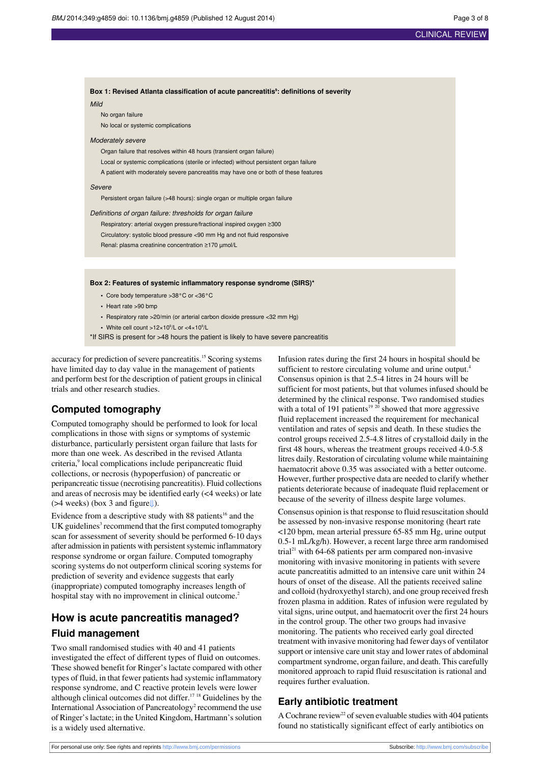| Box 1: Revised Atlanta classification of acute pancreatitis <sup>9</sup> : definitions of severity |
|----------------------------------------------------------------------------------------------------|
| Mild                                                                                               |
| No organ failure                                                                                   |
| No local or systemic complications                                                                 |
| <b>Moderately severe</b>                                                                           |
| Organ failure that resolves within 48 hours (transient organ failure)                              |
| Local or systemic complications (sterile or infected) without persistent organ failure             |
| A patient with moderately severe pancreatitis may have one or both of these features               |
| Severe                                                                                             |
| Persistent organ failure (>48 hours): single organ or multiple organ failure                       |
| Definitions of organ failure: thresholds for organ failure                                         |
| Respiratory: arterial oxygen pressure/fractional inspired oxygen ≥300                              |
| Circulatory: systolic blood pressure <90 mm Hg and not fluid responsive                            |
| Renal: plasma creatinine concentration ≥170 µmol/L                                                 |
|                                                                                                    |

**Box 2: Features of systemic inflammatory response syndrome (SIRS)\***

- **•** Core body temperature >38°C or <36°C
- **•** Heart rate >90 bmp
- **•** Respiratory rate >20/min (or arterial carbon dioxide pressure <32 mm Hg)
- White cell count >12×10<sup>9</sup>/L or <4×10<sup>9</sup>/L
- \*If SIRS is present for >48 hours the patient is likely to have severe pancreatitis

accuracy for prediction of severe pancreatitis.<sup>15</sup> Scoring systems have limited day to day value in the management of patients and perform best for the description of patient groups in clinical trials and other research studies.

# **Computed tomography**

Computed tomography should be performed to look for local complications in those with signs or symptoms of systemic disturbance, particularly persistent organ failure that lasts for more than one week. As described in the revised Atlanta criteria,<sup>9</sup> local complications include peripancreatic fluid collections, or necrosis (hypoperfusion) of pancreatic or peripancreatic tissue (necrotising pancreatitis). Fluid collections and areas of necrosis may be identified early (<4 weeks) or late  $($ >4 weeks) (box 3 and figure $\downarrow$ ).

Evidence from a descriptive study with  $88$  patients<sup>16</sup> and the UK guidelines<sup>3</sup> recommend that the first computed tomography scan for assessment of severity should be performed 6-10 days after admission in patients with persistent systemic inflammatory response syndrome or organ failure. Computed tomography scoring systems do not outperform clinical scoring systems for prediction of severity and evidence suggests that early (inappropriate) computed tomography increases length of hospital stay with no improvement in clinical outcome.<sup>2</sup>

# **How is acute pancreatitis managed? Fluid management**

Two small randomised studies with 40 and 41 patients investigated the effect of different types of fluid on outcomes. These showed benefit for Ringer's lactate compared with other types of fluid, in that fewer patients had systemic inflammatory response syndrome, and C reactive protein levels were lower although clinical outcomes did not differ.<sup>17 18</sup> Guidelines by the International Association of Pancreatology<sup>2</sup> recommend the use of Ringer'slactate; in the United Kingdom, Hartmann'ssolution is a widely used alternative.

Infusion rates during the first 24 hours in hospital should be sufficient to restore circulating volume and urine output.<sup>4</sup> Consensus opinion is that 2.5-4 litres in 24 hours will be sufficient for most patients, but that volumes infused should be determined by the clinical response. Two randomised studies with a total of 191 patients<sup>19 20</sup> showed that more aggressive fluid replacement increased the requirement for mechanical ventilation and rates of sepsis and death. In these studies the control groups received 2.5-4.8 litres of crystalloid daily in the first 48 hours, whereas the treatment groups received 4.0-5.8 litres daily. Restoration of circulating volume while maintaining haematocrit above 0.35 was associated with a better outcome. However, further prospective data are needed to clarify whether patients deteriorate because of inadequate fluid replacement or because of the severity of illness despite large volumes.

Consensus opinion isthat response to fluid resuscitation should be assessed by non-invasive response monitoring (heart rate <120 bpm, mean arterial pressure 65-85 mm Hg, urine output 0.5-1 mL/kg/h). However, a recent large three arm randomised trial<sup>21</sup> with 64-68 patients per arm compared non-invasive monitoring with invasive monitoring in patients with severe acute pancreatitis admitted to an intensive care unit within 24 hours of onset of the disease. All the patients received saline and colloid (hydroxyethyl starch), and one group received fresh frozen plasma in addition. Rates of infusion were regulated by vital signs, urine output, and haematocrit over the first 24 hours in the control group. The other two groups had invasive monitoring. The patients who received early goal directed treatment with invasive monitoring had fewer days of ventilator support or intensive care unit stay and lower rates of abdominal compartment syndrome, organ failure, and death. This carefully monitored approach to rapid fluid resuscitation is rational and requires further evaluation.

# **Early antibiotic treatment**

A Cochrane review<sup>22</sup> of seven evaluable studies with 404 patients found no statistically significant effect of early antibiotics on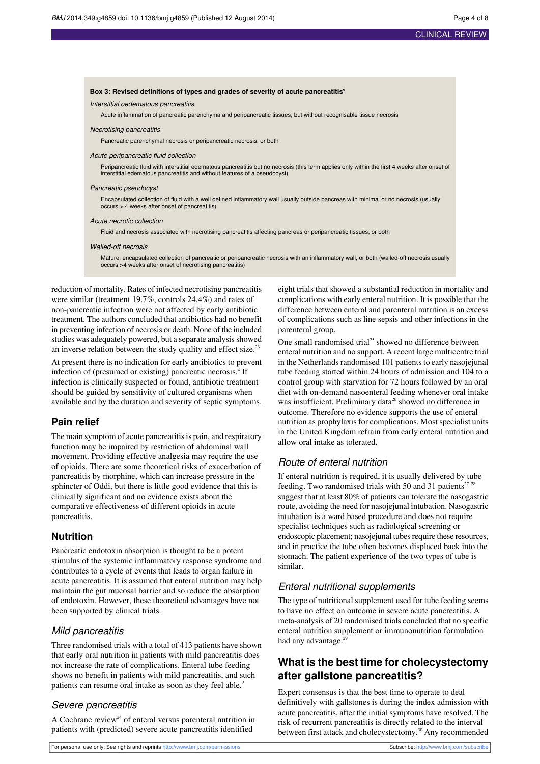#### **Box 3: Revised definitions of types and grades of severity of acute pancreatitis<sup>9</sup>**

Interstitial oedematous pancreatitis

Acute inflammation of pancreatic parenchyma and peripancreatic tissues, but without recognisable tissue necrosis

#### Necrotising pancreatitis

Pancreatic parenchymal necrosis or peripancreatic necrosis, or both

#### Acute peripancreatic fluid collection

Peripancreatic fluid with interstitial edematous pancreatitis but no necrosis (this term applies only within the first 4 weeks after onset of interstitial edematous pancreatitis and without features of a pseudocyst)

#### Pancreatic pseudocyst

Encapsulated collection of fluid with a well defined inflammatory wall usually outside pancreas with minimal or no necrosis (usually occurs > 4 weeks after onset of pancreatitis)

# Acute necrotic collection

Fluid and necrosis associated with necrotising pancreatitis affecting pancreas or peripancreatic tissues, or both

#### Walled-off necrosis

Mature, encapsulated collection of pancreatic or peripancreatic necrosis with an inflammatory wall, or both (walled-off necrosis usually occurs >4 weeks after onset of necrotising pancreatitis)

reduction of mortality. Rates of infected necrotising pancreatitis were similar (treatment 19.7%, controls 24.4%) and rates of non-pancreatic infection were not affected by early antibiotic treatment. The authors concluded that antibiotics had no benefit in preventing infection of necrosis or death. None of the included studies was adequately powered, but a separate analysis showed an inverse relation between the study quality and effect size.<sup>23</sup>

At present there is no indication for early antibiotics to prevent infection of (presumed or existing) pancreatic necrosis.<sup>4</sup> If infection is clinically suspected or found, antibiotic treatment should be guided by sensitivity of cultured organisms when available and by the duration and severity of septic symptoms.

### **Pain relief**

The main symptom of acute pancreatitis is pain, and respiratory function may be impaired by restriction of abdominal wall movement. Providing effective analgesia may require the use of opioids. There are some theoretical risks of exacerbation of pancreatitis by morphine, which can increase pressure in the sphincter of Oddi, but there is little good evidence that this is clinically significant and no evidence exists about the comparative effectiveness of different opioids in acute pancreatitis.

### **Nutrition**

Pancreatic endotoxin absorption is thought to be a potent stimulus of the systemic inflammatory response syndrome and contributes to a cycle of events that leads to organ failure in acute pancreatitis. It is assumed that enteral nutrition may help maintain the gut mucosal barrier and so reduce the absorption of endotoxin. However, these theoretical advantages have not been supported by clinical trials.

# Mild pancreatitis

Three randomised trials with a total of 413 patients have shown that early oral nutrition in patients with mild pancreatitis does not increase the rate of complications. Enteral tube feeding shows no benefit in patients with mild pancreatitis, and such patients can resume oral intake as soon as they feel able.<sup>2</sup>

### Severe pancreatitis

A Cochrane review<sup>24</sup> of enteral versus parenteral nutrition in patients with (predicted) severe acute pancreatitis identified

eight trials that showed a substantial reduction in mortality and complications with early enteral nutrition. It is possible that the difference between enteral and parenteral nutrition is an excess of complications such as line sepsis and other infections in the parenteral group.

One small randomised trial<sup>25</sup> showed no difference between enteral nutrition and no support. A recent large multicentre trial in the Netherlands randomised 101 patients to early nasojejunal tube feeding started within 24 hours of admission and 104 to a control group with starvation for 72 hours followed by an oral diet with on-demand nasoenteral feeding whenever oral intake was insufficient. Preliminary data<sup>26</sup> showed no difference in outcome. Therefore no evidence supports the use of enteral nutrition as prophylaxis for complications. Most specialist units in the United Kingdom refrain from early enteral nutrition and allow oral intake as tolerated.

# Route of enteral nutrition

If enteral nutrition is required, it is usually delivered by tube feeding. Two randomised trials with 50 and 31 patients<sup>27</sup>  $28$ suggest that at least 80% of patients can tolerate the nasogastric route, avoiding the need for nasojejunal intubation. Nasogastric intubation is a ward based procedure and does not require specialist techniques such as radiological screening or endoscopic placement; nasojejunal tubes require these resources, and in practice the tube often becomes displaced back into the stomach. The patient experience of the two types of tube is similar.

### Enteral nutritional supplements

The type of nutritional supplement used for tube feeding seems to have no effect on outcome in severe acute pancreatitis. A meta-analysis of 20 randomised trials concluded that no specific enteral nutrition supplement or immunonutrition formulation had any advantage. $29$ 

# **What is the best time for cholecystectomy after gallstone pancreatitis?**

Expert consensus is that the best time to operate to deal definitively with gallstones is during the index admission with acute pancreatitis, after the initial symptoms have resolved. The risk of recurrent pancreatitis is directly related to the interval between first attack and cholecystectomy.<sup>30</sup> Any recommended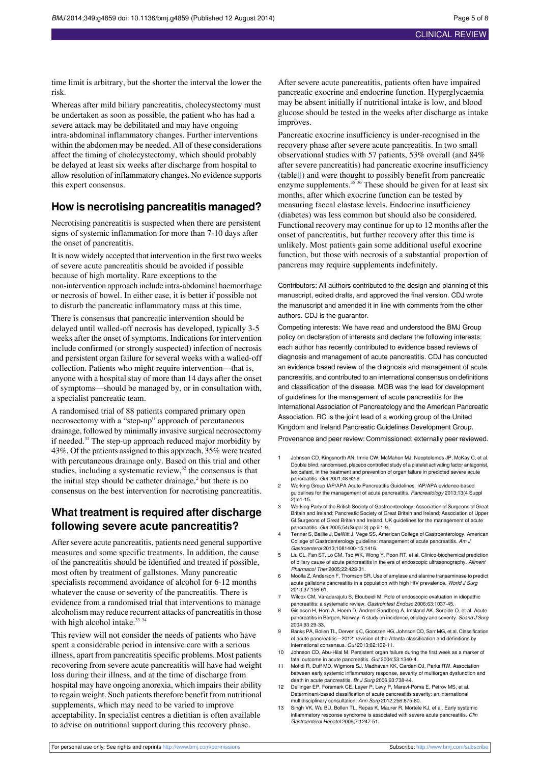time limit is arbitrary, but the shorter the interval the lower the risk.

Whereas after mild biliary pancreatitis, cholecystectomy must be undertaken as soon as possible, the patient who has had a severe attack may be debilitated and may have ongoing intra-abdominal inflammatory changes. Further interventions within the abdomen may be needed. All of these considerations affect the timing of cholecystectomy, which should probably be delayed at least six weeks after discharge from hospital to allow resolution of inflammatory changes. No evidence supports this expert consensus.

# **How is necrotising pancreatitis managed?**

Necrotising pancreatitis is suspected when there are persistent signs of systemic inflammation for more than 7-10 days after the onset of pancreatitis.

It is now widely accepted that intervention in the first two weeks of severe acute pancreatitis should be avoided if possible because of high mortality. Rare exceptions to the non-intervention approach include intra-abdominal haemorrhage or necrosis of bowel. In either case, it is better if possible not to disturb the pancreatic inflammatory mass at this time.

There is consensus that pancreatic intervention should be delayed until walled-off necrosis has developed, typically 3-5 weeks after the onset of symptoms. Indications for intervention include confirmed (or strongly suspected) infection of necrosis and persistent organ failure for several weeks with a walled-off collection. Patients who might require intervention—that is, anyone with a hospital stay of more than 14 days after the onset of symptoms—should be managed by, or in consultation with, a specialist pancreatic team.

A randomised trial of 88 patients compared primary open necrosectomy with a "step-up" approach of percutaneous drainage, followed by minimally invasive surgical necrosectomy if needed.<sup>31</sup> The step-up approach reduced major morbidity by 43%. Of the patients assigned to this approach, 35% were treated with percutaneous drainage only. Based on this trial and other studies, including a systematic review, $32$  the consensus is that the initial step should be catheter drainage, $2$  but there is no consensus on the best intervention for necrotising pancreatitis.

# **What treatment is required after discharge following severe acute pancreatitis?**

After severe acute pancreatitis, patients need general supportive measures and some specific treatments. In addition, the cause of the pancreatitis should be identified and treated if possible, most often by treatment of gallstones. Many pancreatic specialists recommend avoidance of alcohol for 6-12 months whatever the cause or severity of the pancreatitis. There is evidence from a randomised trial that interventions to manage alcoholism may reduce recurrent attacks of pancreatitis in those with high alcohol intake.<sup>33 34</sup>

This review will not consider the needs of patients who have spent a considerable period in intensive care with a serious illness, apart from pancreatitis specific problems. Most patients recovering from severe acute pancreatitis will have had weight loss during their illness, and at the time of discharge from hospital may have ongoing anorexia, which impairs their ability to regain weight. Such patients therefore benefit from nutritional supplements, which may need to be varied to improve acceptability. In specialist centres a dietitian is often available to advise on nutritional support during this recovery phase.

After severe acute pancreatitis, patients often have impaired pancreatic exocrine and endocrine function. Hyperglycaemia may be absent initially if nutritional intake is low, and blood glucose should be tested in the weeks after discharge as intake improves.

Pancreatic exocrine insufficiency is under-recognised in the recovery phase after severe acute pancreatitis. In two small observational studies with 57 patients, 53% overall (and 84% after severe pancreatitis) had pancreatic exocrine insufficiency (table[⇓\)](#page-6-0) and were thought to possibly benefit from pancreatic enzyme supplements.<sup>35 36</sup> These should be given for at least six months, after which exocrine function can be tested by measuring faecal elastase levels. Endocrine insufficiency (diabetes) was less common but should also be considered. Functional recovery may continue for up to 12 months after the onset of pancreatitis, but further recovery after this time is unlikely. Most patients gain some additional useful exocrine function, but those with necrosis of a substantial proportion of pancreas may require supplements indefinitely.

Contributors: All authors contributed to the design and planning of this manuscript, edited drafts, and approved the final version. CDJ wrote the manuscript and amended it in line with comments from the other authors. CDJ is the guarantor.

Competing interests: We have read and understood the BMJ Group policy on declaration of interests and declare the following interests: each author has recently contributed to evidence based reviews of diagnosis and management of acute pancreatitis. CDJ has conducted an evidence based review of the diagnosis and management of acute pancreatitis, and contributed to an international consensus on definitions and classification of the disease. MGB was the lead for development of guidelines for the management of acute pancreatitis for the International Association of Pancreatology and the American Pancreatic Association. RC is the joint lead of a working group of the United Kingdom and Ireland Pancreatic Guidelines Development Group.

Provenance and peer review: Commissioned; externally peer reviewed.

- Johnson CD, Kingsnorth AN, Imrie CW, McMahon MJ, Neoptolemos JP, McKay C, et al. Double blind, randomised, placebo controlled study of a platelet activating factor antagonist, lexipafant, in the treatment and prevention of organ failure in predicted severe acute pancreatitis. Gut 2001;48:62-9.
- 2 Working Group IAP/APA Acute Pancreatitis Guidelines. IAP/APA evidence-based guidelines for the management of acute pancreatitis. Pancreatology 2013;13(4 Suppl  $2$ ):e1-15.
- 3 Working Party of the British Society of Gastroenterology; Association of Surgeons of Great Britain and Ireland; Pancreatic Society of Great Britain and Ireland; Association of Upper GI Surgeons of Great Britain and Ireland, UK guidelines for the management of acute pancreatitis. Gut 2005;54(Suppl 3):pp iii1-9.
- 4 Tenner S, Baillie J, DeWitt J, Vege SS, American College of Gastroenterology. American College of Gastroenterology guideline: management of acute pancreatitis. Am J Gastroenterol 2013;1081400-15;1416.
- Liu CL, Fan ST, Lo CM, Tso WK, Wong Y, Poon RT, et al. Clinico-biochemical prediction of biliary cause of acute pancreatitis in the era of endoscopic ultrasonography. Aliment Pharmacol Ther 2005;22:423-31.
- Moolla Z, Anderson F, Thomson SR. Use of amylase and alanine transaminase to predict acute gallstone pancreatitis in a population with high HIV prevalence. World J Surg 2013;37:156-61.
- 7 Wilcox CM, Varadarajulu S, Eloubeidi M. Role of endoscopic evaluation in idiopathic pancreatitis: a systematic review. Gastrointest Endosc 2006;63:1037-45.
- 8 Gislason H, Horn A, Hoem D, Andren-Sandberg A, Imsland AK, Soreide O, et al. Acute pancreatitis in Bergen, Norway. A study on incidence, etiology and severity. Scand J Surg 2004;93:29-33.
- 9 Banks PA, Bollen TL, Dervenis C, Gooszen HG, Johnson CD, Sarr MG, et al. Clas of acute pancreatitis—2012: revision of the Atlanta classification and definitions by international consensus. Gut 2013;62:102-11.
- 10 Johnson CD, Abu-Hilal M. Persistent organ failure during the first week as a marker of fatal outcome in acute pancreatitis. Gut 2004;53:1340-4.
- 11 Mofidi R, Duff MD, Wigmore SJ, Madhavan KK, Garden OJ, Parks RW. Association between early systemic inflammatory response, severity of multiorgan dysfunction and death in acute pancreatitis. Br J Surg 2006;93:738-44.
- 12 Dellinger EP, Forsmark CE, Layer P, Levy P, Maravi-Poma E, Petrov MS, et al. Determinant-based classification of acute pancreatitis severity: an international multidisciplinary consultation. Ann Surg 2012;256:875-80.
- 13 Singh VK, Wu BU, Bollen TL, Repas K, Maurer R, Mortele KJ, et al. Early systemic inflammatory response syndrome is associated with severe acute pancreatitis. Clin Gastroenterol Hepatol 2009;7:1247-51.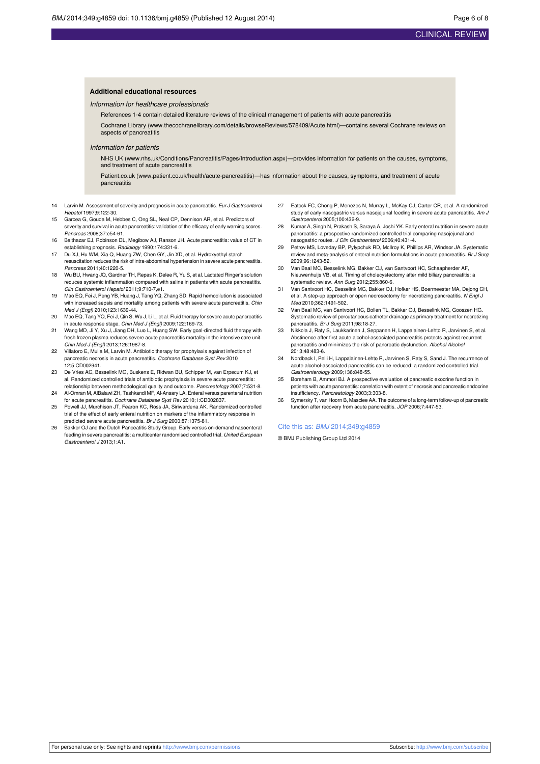#### **Additional educational resources**

#### Information for healthcare professionals

References 1-4 contain detailed literature reviews of the clinical management of patients with acute pancreatitis

Cochrane Library [\(www.thecochranelibrary.com/details/browseReviews/578409/Acute.html\)](http://www.thecochranelibrary.com/details/browseReviews/578409/Acute.html)—contains several Cochrane reviews on aspects of pancreatitis

#### Information for patients

NHS UK ([www.nhs.uk/Conditions/Pancreatitis/Pages/Introduction.aspx\)](http://www.nhs.uk/Conditions/Pancreatitis/Pages/Introduction.aspx)—provides information for patients on the causes, symptoms, and treatment of acute pancreatitis

Patient.co.uk ([www.patient.co.uk/health/acute-pancreatitis](http://www.patient.co.uk/health/acute-pancreatitis))—has information about the causes, symptoms, and treatment of acute pancreatitis

- 14 Larvin M. Assessment of severity and prognosis in acute pancreatitis. Eur J Gastroenterol Hepatol 1997;9:122-30.
- 15 Garcea G, Gouda M, Hebbes C, Ong SL, Neal CP, Dennison AR, et al. Predictors of severity and survival in acute pancreatitis: validation of the efficacy of early warning scores. Pancreas 2008;37:e54-61.
- 16 Balthazar EJ, Robinson DL, Megibow AJ, Ranson JH. Acute pancreatitis: value of CT in establishing prognosis. Radiology 1990;174:331-6.
- 17 Du XJ, Hu WM, Xia Q, Huang ZW, Chen GY, Jin XD, et al. Hydroxyethyl starch resuscitation reduces the risk of intra-abdominal hypertension in severe acute pancreatitis. Pancreas 2011;40:1220-5.
- 18 Wu BU, Hwang JQ, Gardner TH, Repas K, Delee R, Yu S, et al. Lactated Ringer's solution reduces systemic inflammation compared with saline in patients with acute pancreatitis. Clin Gastroenterol Hepatol 2011;9:710-7,e1.
- 19 Mao EQ, Fei J, Peng YB, Huang J, Tang YQ, Zhang SD. Rapid hemodilution is associated with increased sepsis and mortality among patients with severe acute pancreatitis. Chin Med J (Engl) 2010;123:1639-44.
- 20 Mao EQ, Tang YQ, Fei J, Qin S, Wu J, Li L, et al. Fluid therapy for severe acute pancreatitis in acute response stage. Chin Med J (Engl) 2009;122:169-73.
- Wang MD, Ji Y, Xu J, Jiang DH, Luo L, Huang SW. Early goal-directed fluid therapy with fresh frozen plasma reduces severe acute pancreatitis mortality in the intensive care unit. Chin Med J (Engl) 2013;126:1987-8.
- 22 Villatoro E, Mulla M, Larvin M. Antibiotic therapy for prophylaxis against infection of pancreatic necrosis in acute pancreatitis. Cochrane Database Syst Rev 2010 12;5:CD002941.
- 23 De Vries AC, Besselink MG, Buskens E, Ridwan BU, Schipper M, van Erpecum KJ, et al. Randomized controlled trials of antibiotic prophylaxis in severe acute pancreatitis: relationship between methodological quality and outcome. Pancreatology 2007;7:531-8. 24 Al-Omran M, AlBalawi ZH, Tashkandi MF, Al-Ansary LA. Enteral versus parenteral nutrition
- for acute pancreatitis. Cochrane Database Syst Rev 2010;1:CD002837. 25 Powell JJ, Murchison JT, Fearon KC, Ross JA, Siriwardena AK. Randomized controlled
- trial of the effect of early enteral nutrition on markers of the inflammatory response in predicted severe acute pancreatitis. Br J Surg 2000;87:1375-81.
- 26 Bakker OJ and the Dutch Panceatitis Study Group. Early versus on-demand nasoenteral feeding in severe pancreatitis: a multicenter randomised controlled trial. United European Gastroenterol J 2013;1:A1.
- 27 Eatock FC, Chong P, Menezes N, Murray L, McKay CJ, Carter CR, et al. A randomized study of early nasogastric versus nasojejunal feeding in severe acute pancreatitis. Am J Gastroenterol 2005;100:432-9.
- 28 Kumar A, Singh N, Prakash S, Saraya A, Joshi YK. Early enteral nutrition in severe acute pancreatitis: a prospective randomized controlled trial comparing nasojejunal and nasogastric routes. J Clin Gastroenterol 2006;40:431-4.
- 29 Petrov MS, Loveday BP, Pylypchuk RD, McIlroy K, Phillips AR, Windsor JA. Systematic review and meta-analysis of enteral nutrition formulations in acute pancreatitis. Br J Surg 2009;96:1243-52.
- 30 Van Baal MC, Besselink MG, Bakker OJ, van Santvoort HC, Schaapherder AF, Nieuwenhuijs VB, et al. Timing of cholecystectomy after mild biliary pancreatitis: a systematic review. Ann Surg 2012;255:860-6.
- 31 Van Santvoort HC, Besselink MG, Bakker OJ, Hofker HS, Boermeester MA, Dejong CH, et al. A step-up approach or open necrosectomy for necrotizing pancreatitis. N Engl J Med 2010;362:1491-502.
- 32 Van Baal MC, van Santvoort HC, Bollen TL, Bakker OJ, Besselink MG, Gooszen HG. Systematic review of percutaneous catheter drainage as primary treatment for necrotizing pancreatitis. Br J Surg 2011;98:18-27.
- 33 Nikkola J, Raty S, Laukkarinen J, Seppanen H, Lappalainen-Lehto R, Jarvinen S, et al. Abstinence after first acute alcohol-associated pancreatitis protects against recurrent pancreatitis and minimizes the risk of pancreatic dysfunction. Alcohol Alcohol 2013;48:483-6.
- 34 Nordback I, Pelli H, Lappalainen-Lehto R, Jarvinen S, Raty S, Sand J. The recurrence of acute alcohol-associated pancreatitis can be reduced: a randomized controlled trial. Gastroenterology 2009;136:848-55.
- 35 Boreham B, Ammori BJ. A prospective evaluation of pancreatic exocrine function in patients with acute pancreatitis: correlation with extent of necrosis and pancreatic endocrine insufficiency. Pancreatology 2003;3:303-8.
- 36 Symersky T, van Hoorn B, Masclee AA. The outcome of a long-term follow-up of pancreatic function after recovery from acute pancreatitis. JOP 2006;7:447-53.

#### Cite this as: BMJ 2014;349:g4859

© BMJ Publishing Group Ltd 2014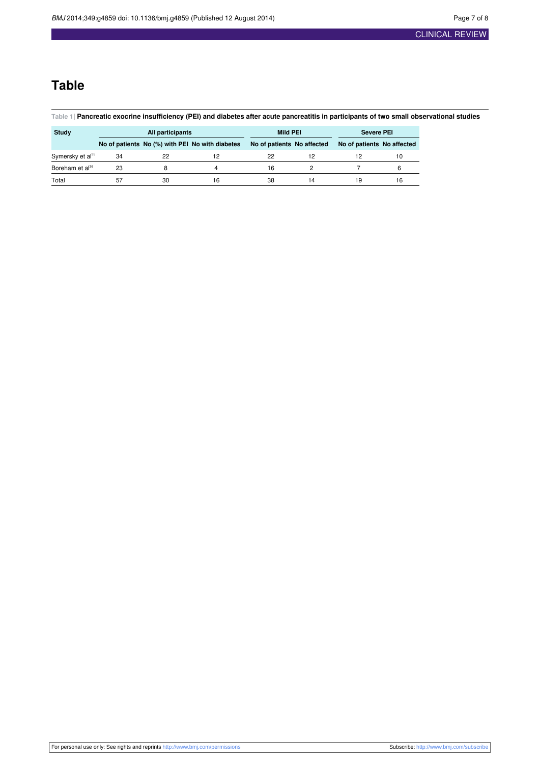# **Table**

<span id="page-6-0"></span>Table 1| Pancreatic exocrine insufficiency (PEI) and diabetes after acute pancreatitis in participants of two small observational studies

| <b>Study</b>                 | All participants |    |                                                 | <b>Mild PEI</b>            |    | <b>Severe PEI</b>          |    |
|------------------------------|------------------|----|-------------------------------------------------|----------------------------|----|----------------------------|----|
|                              |                  |    | No of patients No (%) with PEI No with diabetes | No of patients No affected |    | No of patients No affected |    |
| Symersky et al <sup>35</sup> | 34               | 22 | 12                                              | 22                         | 12 |                            | 10 |
| Boreham et al <sup>36</sup>  | 23               |    |                                                 | 16                         |    |                            |    |
| Total                        | 57               | 30 | 16                                              | 38                         | 14 | 19                         | 16 |